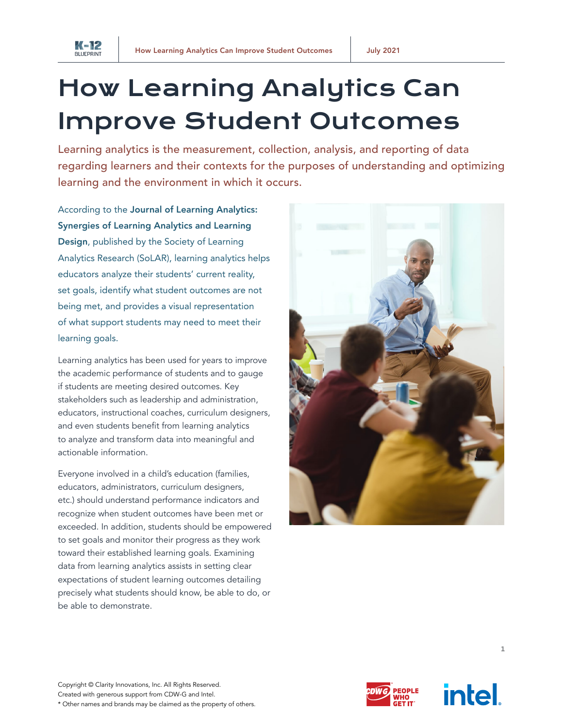

## How Learning Analytics Can Improve Student Outcomes

Learning analytics is the measurement, collection, analysis, and reporting of data regarding learners and their contexts for the purposes of understanding and optimizing learning and the environment in which it occurs.

According to the [Journal of Learning Analytics:](https://www.solaresearch.org/about/what-is-learning-analytics/)  [Synergies of Learning Analytics and Learning](https://www.solaresearch.org/about/what-is-learning-analytics/)  [Design](https://www.solaresearch.org/about/what-is-learning-analytics/), published by the Society of Learning Analytics Research (SoLAR), learning analytics helps educators analyze their students' current reality, set goals, identify what student outcomes are not being met, and provides a visual representation of what support students may need to meet their learning goals.

Learning analytics has been used for years to improve the academic performance of students and to gauge if students are meeting desired outcomes. Key stakeholders such as leadership and administration, educators, instructional coaches, curriculum designers, and even students benefit from learning analytics to analyze and transform data into meaningful and actionable information.

Everyone involved in a child's education (families, educators, administrators, curriculum designers, etc.) should understand performance indicators and recognize when student outcomes have been met or exceeded. In addition, students should be empowered to set goals and monitor their progress as they work toward their established learning goals. Examining data from learning analytics assists in setting clear expectations of student learning outcomes detailing precisely what students should know, be able to do, or be able to demonstrate.